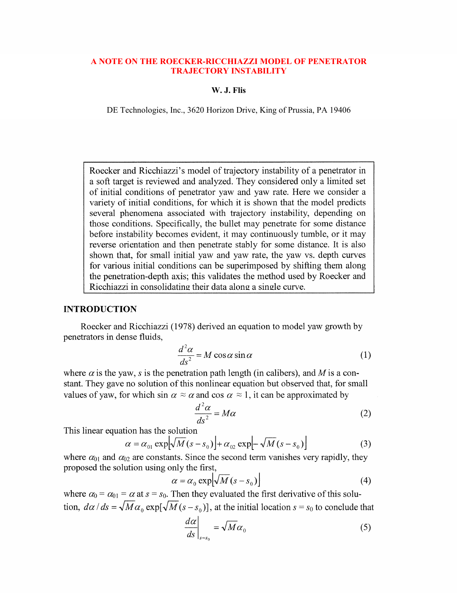### **A NOTE ON THE ROECKER-RICCHIAZZI MODEL OF PENETRATOR A NOTE ON THE ROECKER-RICCHIAZZI MODEL OF PENETRATOR TRAJECTORY INSTABILITY TRAJECTORY INSTABILITY**

#### **W. J. Flis W. J. Flis**

DE Technologies, Inc., 3620 Horizon Drive, King of Prussia, PA 19406 DE Technologies, Inc., 3620 Horizon Drive, King of Prussia, PA 19406

Roecker and Ricchiazzi's model of trajectory instability of a penetrator in a soft target is reviewed and analyzed. They considered only a limited set of initial conditions of penetrator yaw and yaw rate. Here we consider a variety of initial conditions, for which it is shown that the model predicts several phenomena associated with trajectory instability, depending on those conditions. Specifically, the bullet may penetrate for some distance before instability becomes evident, it may continuously tumble, or it may reverse orientation and then penetrate stably for some distance. It is also shown that, for small initial yaw and yaw rate, the yaw vs. depth curves for various initial conditions can be superimposed by shifting them along the penetration-depth axis; this validates the method used by Roecker and Ricchiazzi in consolidating their data along a single curve.

## **INTRODUCTION**

Roecker and Ricchiazzi (1978) derived an equation to model yaw growth by penetrators in dense fluids,

$$
\frac{d^2\alpha}{ds^2} = M\cos\alpha\sin\alpha\tag{1}
$$

where  $\alpha$  is the yaw, *s* is the penetration path length (in calibers), and *M* is a constant. They gave no solution of this nonlinear equation but observed that, for small values of yaw, for which sin  $\alpha \approx \alpha$  and cos  $\alpha \approx 1$ , it can be approximated by

$$
\frac{d^2\alpha}{ds^2} = M\alpha\tag{2}
$$

This linear equation has the solution

$$
\alpha = \alpha_{01} \exp[\sqrt{M(s - s_0)}] + \alpha_{02} \exp[-\sqrt{M(s - s_0)}]
$$
(3)

where  $\alpha_{01}$  and  $\alpha_{02}$  are constants. Since the second term vanishes very rapidly, they proposed the solution using only the first,

$$
\alpha = \alpha_0 \exp[\sqrt{M} (s - s_0)] \tag{4}
$$

where  $\alpha_0 = \alpha_{01} = \alpha$  at  $s = s_0$ . Then they evaluated the first derivative of this solution,  $d\alpha / ds = \sqrt{M\alpha_0} \exp[\sqrt{M(s - s_0)}]$ , at the initial location  $s = s_0$  to conclude that

$$
\left. \frac{d\alpha}{ds} \right|_{s=s_0} = \sqrt{M} \alpha_0 \tag{5}
$$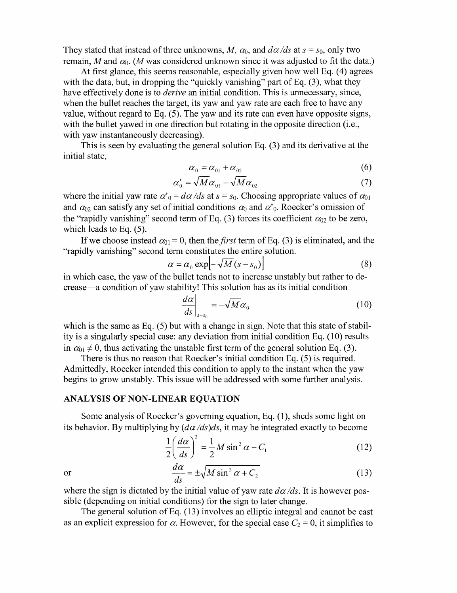They stated that instead of three unknowns, *M*,  $\alpha_0$ , and  $d\alpha/ds$  at  $s = s_0$ , only two remain, *M* and  $\alpha_0$ . (*M* was considered unknown since it was adjusted to fit the data.)

At first glance, this seems reasonable, especially given how well Eq. (4) agrees with the data, but, in dropping the "quickly vanishing" part of Eq. (3), what they have effectively done is to *derive* an initial condition. This is unnecessary, since, when the bullet reaches the target, its yaw and yaw rate are each free to have any value, without regard to Eq. *(5).* The yaw and its rate can even have opposite signs, with the bullet yawed in one direction but rotating in the opposite direction (i.e., with yaw instantaneously decreasing).

initial state, This is seen by evaluating the general solution Eq. (3) and its derivative at the

$$
\alpha_0 = \alpha_{01} + \alpha_{02} \tag{6}
$$

$$
\alpha_0' = \sqrt{M}\alpha_{01} - \sqrt{M}\alpha_{02} \tag{7}
$$

where the initial yaw rate  $\alpha'_{0} = d\alpha/ds$  at  $s = s_{0}$ . Choosing appropriate values of  $\alpha_{01}$ and  $\alpha_{02}$  can satisfy any set of initial conditions  $\alpha_0$  and  $\alpha'$ <sub>0</sub>. Roecker's omission of the "rapidly vanishing" second term of Eq. (3) forces its coefficient  $\alpha_{02}$  to be zero, which leads to Eq. *(5).* 

"rapidly vanishing" second term constitutes the entire solution. If we choose instead  $\alpha_{01} = 0$ , then the *first* term of Eq. (3) is eliminated, and the

$$
\alpha = \alpha_0 \exp\left[-\sqrt{M}(s - s_0)\right] \tag{8}
$$

in which case, the yaw of the bullet tends not to increase unstably but rather to decrease-a condition of yaw stability! This solution has as its initial condition

$$
\left. \frac{d\alpha}{ds} \right|_{s=s_0} = -\sqrt{M} \alpha_0 \tag{10}
$$

which is the same as Eq. (5) but with a change in sign. Note that this state of stability is a singularly special case: any deviation from initial condition Eq.  $(10)$  results in  $\alpha_{01} \neq 0$ , thus activating the unstable first term of the general solution Eq. (3).

There is thus no reason that Roecker's initial condition Eq. *(5)* is required. Admittedly, Roecker intended this condition to apply to the instant when the yaw begins to grow unstably. This issue will be addressed with some further analysis.

#### **ANALYSIS OF NON-LINEAR EQUATION**

Some analysis of Roecker's governing equation, Eq. (I), sheds some light on its behavior. By multiplying by  $(d\alpha/ds)ds$ , it may be integrated exactly to become

$$
\frac{1}{2}\left(\frac{d\alpha}{ds}\right)^2 = \frac{1}{2}M\sin^2\alpha + C_1\tag{12}
$$

or

$$
\frac{d\alpha}{ds} = \pm \sqrt{M\sin^2\alpha + C_2} \tag{13}
$$

where the sign is dictated by the initial value of yaw rate  $d\alpha/ds$ . It is however possible (depending on initial conditions) for the sign to later change.

The general solution of Eq.  $(13)$  involves an elliptic integral and cannot be cast as an explicit expression for  $\alpha$ . However, for the special case  $C_2 = 0$ , it simplifies to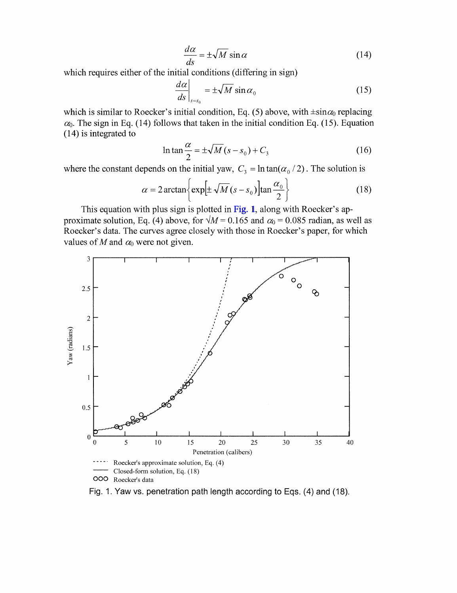$$
\frac{d\alpha}{ds} = \pm \sqrt{M} \sin \alpha \tag{14}
$$

which requires either of the initial conditions (differing in sign)

$$
\left. \frac{d\alpha}{ds} \right|_{s=s_0} = \pm \sqrt{M} \sin \alpha_0 \tag{15}
$$

which is similar to Roecker's initial condition, Eq. (5) above, with  $\pm \sin \alpha_0$  replacing  $\alpha_0$ . The sign in Eq. (14) follows that taken in the initial condition Eq. (15). Equation (14) is integrated to

$$
\ln \tan \frac{\alpha}{2} = \pm \sqrt{M} (s - s_0) + C_3 \tag{16}
$$

where the constant depends on the initial yaw, 
$$
C_3 = \ln \tan(\alpha_0 / 2)
$$
. The solution is  
\n
$$
\alpha = 2 \arctan \left\{ \exp[\pm \sqrt{M} (s - s_0)] \tan \frac{\alpha_0}{2} \right\}
$$
\n(18)

This equation with plus sign is plotted in Fig. 1, along with Roecker's approximate solution, Eq. (4) above, for  $\sqrt{M}$  = 0.165 and  $\alpha_0$  = 0.085 radian, as well as Roecker's data. The curves agree closely with those in Roecker's paper, for which values of M and  $\alpha_0$  were not given.



Fig. 1. Yaw vs. penetration path length according to Eqs. (4) and (18).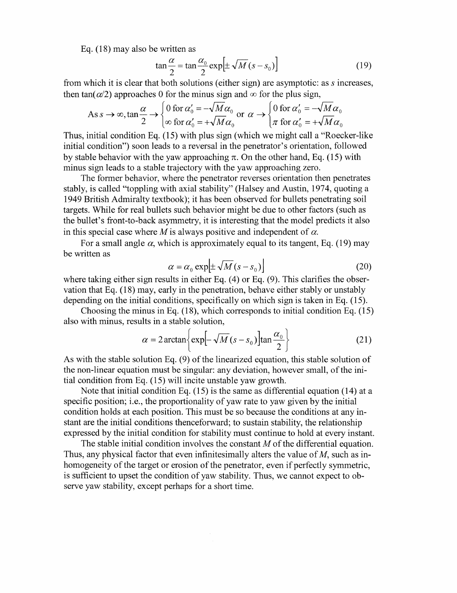Eq. (18) may also be written as

$$
\tan\frac{\alpha}{2} = \tan\frac{\alpha_0}{2}\exp\left[\pm\sqrt{M}\left(s - s_0\right)\right]
$$
 (19)

from which it is clear that both solutions (either sign) are asymptotic: as *s* increases, then tan( $\alpha/2$ ) approaches 0 for the minus sign and  $\infty$  for the plus sign,

As 
$$
s \to \infty
$$
,  $\tan \frac{\alpha}{2} \to \begin{cases} 0 \text{ for } \alpha'_0 = -\sqrt{M} \alpha_0 \\ \infty \text{ for } \alpha'_0 = +\sqrt{M} \alpha_0 \end{cases}$  or  $\alpha \to \begin{cases} 0 \text{ for } \alpha'_0 = -\sqrt{M} \alpha_0 \\ \pi \text{ for } \alpha'_0 = +\sqrt{M} \alpha_0 \end{cases}$ 

Thus, initial condition Eq. **(1 5)** with plus sign (which we might call a "Roecker-like initial condition") soon leads to a reversal in the penetrator's orientation, followed by stable behavior with the yaw approaching  $\pi$ . On the other hand, Eq. (15) with minus sign leads to a stable trajectory with the yaw approaching zero.

The former behavior, where the penetrator reverses orientation then penetrates stably, is called "toppling with axial stability" (Halsey and Austin, **19'74,** quoting a **1949** British Admiralty textbook); it has been observed for bullets penetrating soil targets. While for real bullets such behavior might be due to other factors (such as the bullet's front-to-back asymmetry, it is interesting that the model predicts it also in this special case where  $M$  is always positive and independent of  $\alpha$ .

For a small angle  $\alpha$ , which is approximately equal to its tangent, Eq. (19) may be written as

$$
\alpha = \alpha_0 \exp\left[\pm \sqrt{M} (s - s_0)\right]
$$
 (20)

where taking either sign results in either Eq. (4) or Eq. **(9).** This clarifies the observation that Eq. (18) may, early in the penetration, behave either stably or unstably depending on the initial conditions, specifically on which sign is taken in Eq. (15).

Choosing the minus in Eq. (18), which corresponds to initial condition Eq. (15)

also with minus, results in a stable solution,  
\n
$$
\alpha = 2 \arctan \left\{ \exp \left[ -\sqrt{M} (s - s_0) \right] \tan \frac{\alpha_0}{2} \right\}
$$
\n(21)

As with the stable solution Eq. (9) of the linearized equation, this stable solution of the non-linear equation must be singular: any deviation, however small, of the initial condition from Eq. (15) will incite unstable yaw growth.

specific position; i.e., the proportionality of yaw rate to yaw given by the initial condition holds at each position. This must be so because the conditions at any instant are the initial conditions thenceforward; to sustain stability, the relationship expressed by the initial condition for stability must continue to hold at every instant. Note that initial condition Eq. (15) is the same as differential equation (14) at a

The stable initial condition involves the constant *M* of the differential equation. Thus, any physical factor that even infinitesimally alters the value of *M,* such as inhomogeneity of the target or erosion of the penetrator, even if perfectly symmetric, is sufficient to upset the condition of yaw stability. Thus, we cannot expect to observe yaw stability, except perhaps for a short time.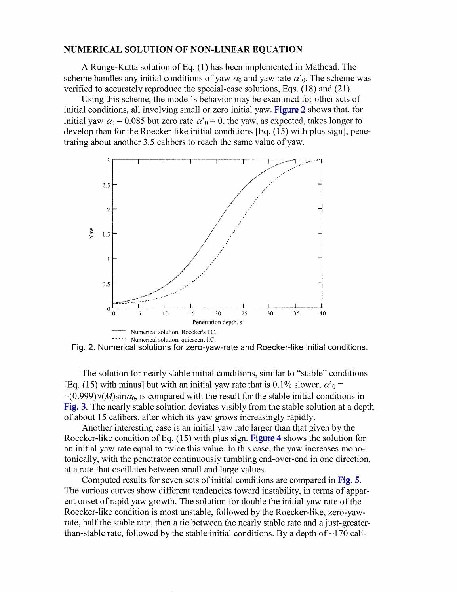#### NUMERICAL SOLUTION OF NON-LINEAR EQUATION

A Runge-Kutta solution of Eq. (1) has been implemented in Mathcad. The scheme handles any initial conditions of yaw  $\alpha_0$  and yaw rate  $\alpha'_0$ . The scheme was verified to accurately reproduce the special-case solutions, Eqs.  $(18)$  and  $(21)$ .

Using this scheme, the model's behavior may be examined for other sets of initial conditions, all involving small or zero initial yaw. Figure 2 shows that, for initial yaw  $\alpha_0 = 0.085$  but zero rate  $\alpha'_0 = 0$ , the yaw, as expected, takes longer to develop than for the Roecker-like initial conditions [Eq. (1 *5)* with plus sign], penetrating about another *3.5* calibers to reach the same value of yaw.



Fig. 2. Numerical solutions for zero-yaw-rate and Roecker-like initial conditions.

The solution for nearly stable initial conditions, similar to "stable" conditions [Eq. (15) with minus] but with an initial yaw rate that is 0.1% slower,  $\alpha'_{0}$  =  $-(0.999)\sqrt{(M)\sin\alpha_0}$ , is compared with the result for the stable initial conditions in [Fig.](#page-5-0) 3. The nearly stable solution deviates visibly from the stable solution at a depth of about 15 calibers, after which its yaw grows increasingly rapidly.

Another interesting case is an initial yaw rate larger than that given by the Roecker-like condition of Eq. (1*5 )* with plus sign. [Figure](#page-5-0) 4 shows the solution for an initial yaw rate equal to twice this value. In this case, the yaw increases monotonically, with the penetrator continuously tumbling end-over-end in one direction, at a rate that oscillates between small and large values.

Computed results for seven sets of initial conditions are compared in [Fig.](#page-6-0) *5.*  The various curves show different tendencies toward instability, in terns of apparent onset of rapid yaw growth. The solution for double the initial yaw rate of the Roecker-like condition is most unstable, followed by the Roecker-like, zero-yawrate, half the stable rate, then a tie between the nearly stable rate and a just-greaterthan-stable rate, followed by the stable initial conditions. By a depth of  $\sim$ 170 cali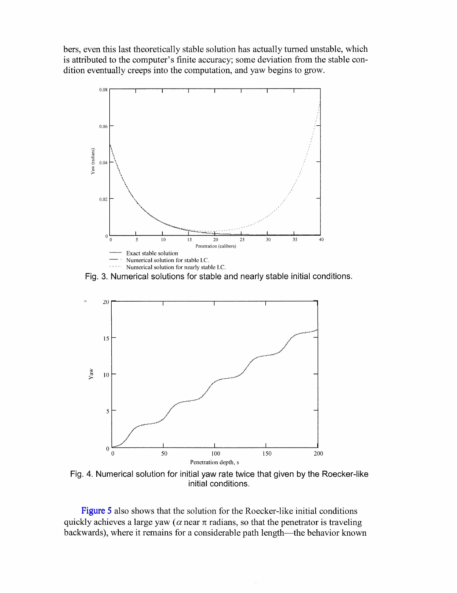<span id="page-5-0"></span>bers, even this last theoretically stable solution has actually turned unstable, which is attributed to the computer's finite accuracy; some deviation from the stable condition eventually creeps into the computation, and yaw begins to grow.



Fig. 3. Numerical solutions for stable and nearly stable initial conditions.



Fig. 4. Numerical solution for initial yaw rate twice that given by the Roecker-like initial conditions.

[Figure](#page-6-0) 5 also shows that the solution for the Roecker-like initial conditions quickly achieves a large yaw ( $\alpha$  near  $\pi$  radians, so that the penetrator is traveling backwards), where it remains for a considerable path length—the behavior known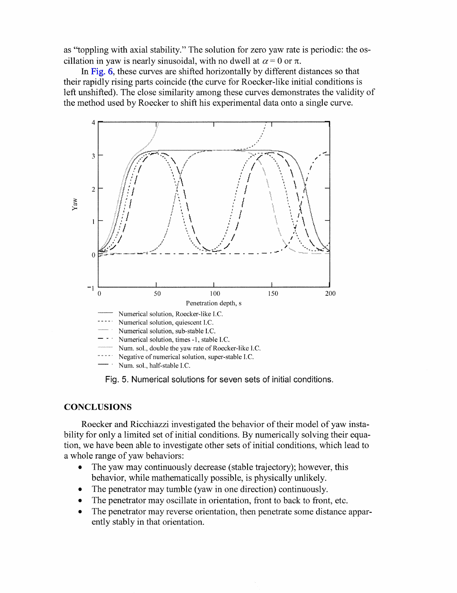<span id="page-6-0"></span>as "toppling with axial stability." The solution for zero yaw rate is periodic: the oscillation in yaw is nearly sinusoidal, with no dwell at  $\alpha = 0$  or  $\pi$ .

In [Fig.](#page-7-0) 6, these curves are shifted horizontally by different distances so that their rapidly rising parts coincide (the curve for Roecker-like initial conditions is left unshifted). The close similarity among these curves demonstrates the validity of the method used by Roecker to shift his experimental data onto a single curve.



Fig. 5. Numerical solutions for seven sets of initial conditions.

# **CONCLUSIONS**

Roecker and Ricchiazzi investigated the behavior of their model of yaw instability for only a limited set of initial conditions. By numerically solving their equation, we have been able to investigate other sets of initial conditions, which lead to a whole range of yaw behaviors:

- *0*  The yaw may continuously decrease (stable trajectory); however, this behavior, while mathematically possible, is physically unlikely.
- *0*  The penetrator may tumble (yaw in one direction) continuously.
- *0*  The penetrator may oscillate in orientation, front to back to front, etc.
- *0*  The penetrator may reverse orientation, then penetrate some distance apparently stably in that orientation.